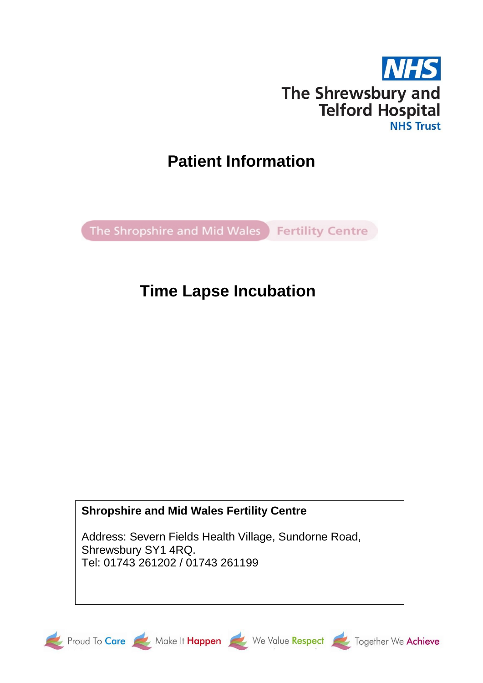

# **Patient Information**

The Shropshire and Mid Wales Fertility Centre

# **Time Lapse Incubation**

# **Shropshire and Mid Wales Fertility Centre**

Address: Severn Fields Health Village, Sundorne Road, Shrewsbury SY1 4RQ. Tel: 01743 261202 / 01743 261199









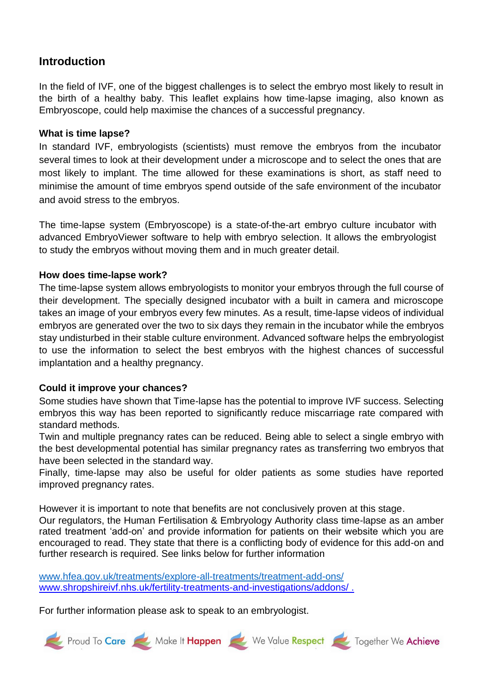## **Introduction**

In the field of IVF, one of the biggest challenges is to select the embryo most likely to result in the birth of a healthy baby. This leaflet explains how time-lapse imaging, also known as Embryoscope, could help maximise the chances of a successful pregnancy.

## **What is time lapse?**

In standard IVF, embryologists (scientists) must remove the embryos from the incubator several times to look at their development under a microscope and to select the ones that are most likely to implant. The time allowed for these examinations is short, as staff need to minimise the amount of time embryos spend outside of the safe environment of the incubator and avoid stress to the embryos.

The time-lapse system (Embryoscope) is a state-of-the-art embryo culture incubator with advanced EmbryoViewer software to help with embryo selection. It allows the embryologist to study the embryos without moving them and in much greater detail.

## **How does time-lapse work?**

The time-lapse system allows embryologists to monitor your embryos through the full course of their development. The specially designed incubator with a built in camera and microscope takes an image of your embryos every few minutes. As a result, time-lapse videos of individual embryos are generated over the two to six days they remain in the incubator while the embryos stay undisturbed in their stable culture environment. Advanced software helps the embryologist to use the information to select the best embryos with the highest chances of successful implantation and a healthy pregnancy.

## **Could it improve your chances?**

Some studies have shown that Time-lapse has the potential to improve IVF success. Selecting embryos this way has been reported to significantly reduce miscarriage rate compared with standard methods.

Twin and multiple pregnancy rates can be reduced. Being able to select a single embryo with the best developmental potential has similar pregnancy rates as transferring two embryos that have been selected in the standard way.

Finally, time-lapse may also be useful for older patients as some studies have reported improved pregnancy rates.

However it is important to note that benefits are not conclusively proven at this stage.

Our regulators, the Human Fertilisation & Embryology Authority class time-lapse as an amber rated treatment 'add-on' and provide information for patients on their website which you are encouraged to read. They state that there is a conflicting body of evidence for this add-on and further research is required. See links below for further information

[www.hfea.gov.uk/treatments/explore-all-treatments/treatment-add-ons/](https://www.hfea.gov.uk/treatments/explore-all-treatments/treatment-add-ons/) [www.shropshireivf.nhs.uk/fertility-treatments-and-investigations/addons/](http://www.shropshireivf.nhs.uk/fertility-treatments-and-investigations/addons/).

For further information please ask to speak to an embryologist.

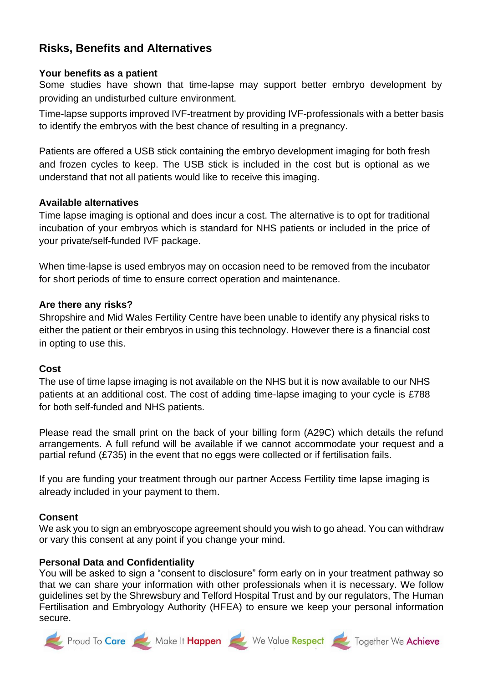# **Risks, Benefits and Alternatives**

#### **Your benefits as a patient**

Some studies have shown that time-lapse may support better embryo development by providing an undisturbed culture environment.

Time-lapse supports improved IVF-treatment by providing IVF-professionals with a better basis to identify the embryos with the best chance of resulting in a pregnancy.

Patients are offered a USB stick containing the embryo development imaging for both fresh and frozen cycles to keep. The USB stick is included in the cost but is optional as we understand that not all patients would like to receive this imaging.

#### **Available alternatives**

Time lapse imaging is optional and does incur a cost. The alternative is to opt for traditional incubation of your embryos which is standard for NHS patients or included in the price of your private/self-funded IVF package.

When time-lapse is used embryos may on occasion need to be removed from the incubator for short periods of time to ensure correct operation and maintenance.

#### **Are there any risks?**

Shropshire and Mid Wales Fertility Centre have been unable to identify any physical risks to either the patient or their embryos in using this technology. However there is a financial cost in opting to use this.

### **Cost**

The use of time lapse imaging is not available on the NHS but it is now available to our NHS patients at an additional cost. The cost of adding time-lapse imaging to your cycle is £788 for both self-funded and NHS patients.

Please read the small print on the back of your billing form (A29C) which details the refund arrangements. A full refund will be available if we cannot accommodate your request and a partial refund (£735) in the event that no eggs were collected or if fertilisation fails.

If you are funding your treatment through our partner Access Fertility time lapse imaging is already included in your payment to them.

### **Consent**

We ask you to sign an embryoscope agreement should you wish to go ahead. You can withdraw or vary this consent at any point if you change your mind.

### **Personal Data and Confidentiality**

You will be asked to sign a "consent to disclosure" form early on in your treatment pathway so that we can share your information with other professionals when it is necessary. We follow guidelines set by the Shrewsbury and Telford Hospital Trust and by our regulators, The Human Fertilisation and Embryology Authority (HFEA) to ensure we keep your personal information secure.







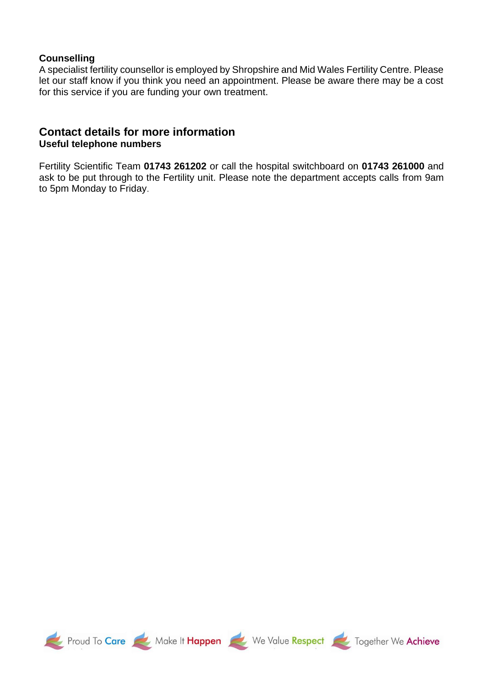#### **Counselling**

A specialist fertility counsellor is employed by Shropshire and Mid Wales Fertility Centre. Please let our staff know if you think you need an appointment. Please be aware there may be a cost for this service if you are funding your own treatment.

### **Contact details for more information Useful telephone numbers**

Fertility Scientific Team **01743 261202** or call the hospital switchboard on **01743 261000** and ask to be put through to the Fertility unit. Please note the department accepts calls from 9am to 5pm Monday to Friday.